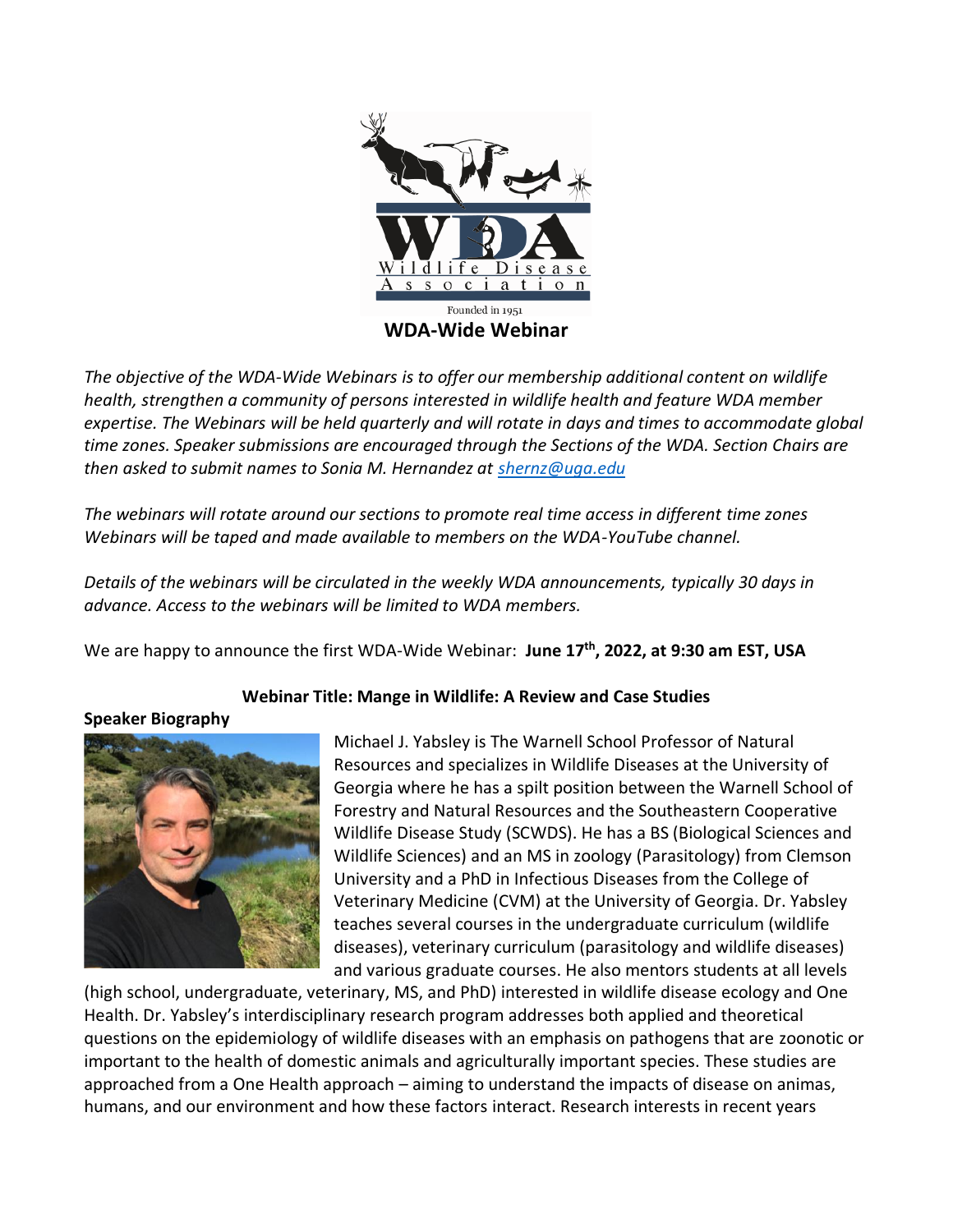

*The objective of the WDA-Wide Webinars is to offer our membership additional content on wildlife health, strengthen a community of persons interested in wildlife health and feature WDA member expertise. The Webinars will be held quarterly and will rotate in days and times to accommodate global time zones. Speaker submissions are encouraged through the Sections of the WDA. Section Chairs are then asked to submit names to Sonia M. Hernandez at [shernz@uga.edu](mailto:shernz@uga.edu)*

*The webinars will rotate around our sections to promote real time access in different time zones Webinars will be taped and made available to members on the WDA-YouTube channel.*

*Details of the webinars will be circulated in the weekly WDA announcements, typically 30 days in advance. Access to the webinars will be limited to WDA members.*

We are happy to announce the first WDA-Wide Webinar: **June 17th, 2022, at 9:30 am EST, USA**

## **Webinar Title: Mange in Wildlife: A Review and Case Studies**

**Speaker Biography**



Michael J. Yabsley is The Warnell School Professor of Natural Resources and specializes in Wildlife Diseases at the University of Georgia where he has a spilt position between the Warnell School of Forestry and Natural Resources and the Southeastern Cooperative Wildlife Disease Study (SCWDS). He has a BS (Biological Sciences and Wildlife Sciences) and an MS in zoology (Parasitology) from Clemson University and a PhD in Infectious Diseases from the College of Veterinary Medicine (CVM) at the University of Georgia. Dr. Yabsley teaches several courses in the undergraduate curriculum (wildlife diseases), veterinary curriculum (parasitology and wildlife diseases) and various graduate courses. He also mentors students at all levels

(high school, undergraduate, veterinary, MS, and PhD) interested in wildlife disease ecology and One Health. Dr. Yabsley's interdisciplinary research program addresses both applied and theoretical questions on the epidemiology of wildlife diseases with an emphasis on pathogens that are zoonotic or important to the health of domestic animals and agriculturally important species. These studies are approached from a One Health approach – aiming to understand the impacts of disease on animas, humans, and our environment and how these factors interact. Research interests in recent years